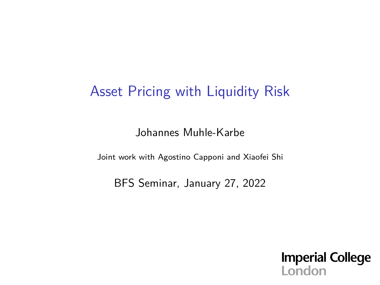### Asset Pricing with Liquidity Risk

Johannes Muhle-Karbe

Joint work with Agostino Capponi and Xiaofei Shi

BFS Seminar, January 27, 2022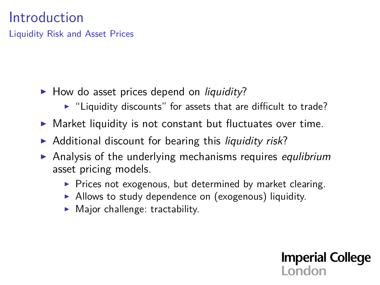Liquidity Risk and Asset Prices

- $\blacktriangleright$  How do asset prices depend on *liquidity*?
	- $\blacktriangleright$  "Liquidity discounts" for assets that are difficult to trade?
- $\triangleright$  Market liquidity is not constant but fluctuates over time.
- $\blacktriangleright$  Additional discount for bearing this *liquidity risk*?
- Analysis of the underlying mechanisms requires equlibrium asset pricing models.
	- $\triangleright$  Prices not exogenous, but determined by market clearing.

**Imperial College** 

l ondon

- $\blacktriangleright$  Allows to study dependence on (exogenous) liquidity.
- $\blacktriangleright$  Major challenge: tractability.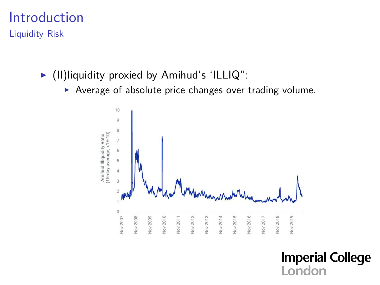Liquidity Risk

- $\blacktriangleright$  (II)liquidity proxied by Amihud's 'ILLIQ":
	- $\triangleright$  Average of absolute price changes over trading volume.

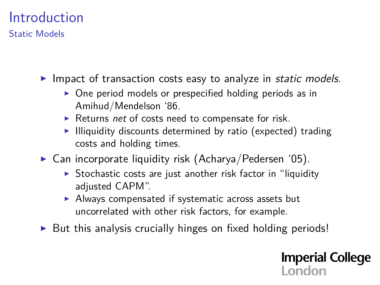Static Models

- Impact of transaction costs easy to analyze in *static models*.
	- $\triangleright$  One period models or prespecified holding periods as in Amihud/Mendelson '86.
	- $\blacktriangleright$  Returns net of costs need to compensate for risk.
	- $\blacktriangleright$  Illiquidity discounts determined by ratio (expected) trading costs and holding times.
- $\triangleright$  Can incorporate liquidity risk (Acharya/Pedersen '05).
	- $\triangleright$  Stochastic costs are just another risk factor in "liquidity adjusted CAPM".
	- $\blacktriangleright$  Always compensated if systematic across assets but uncorrelated with other risk factors, for example.
- $\triangleright$  But this analysis crucially hinges on fixed holding periods!

**Imperial College** 

l ondon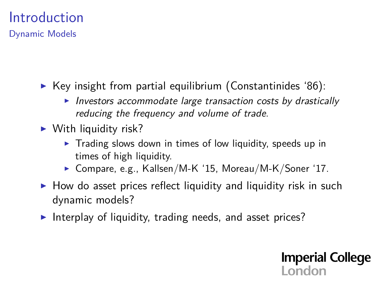Dynamic Models

- $\triangleright$  Key insight from partial equilibrium (Constantinides '86):
	- $\triangleright$  Investors accommodate large transaction costs by drastically reducing the frequency and volume of trade.
- $\triangleright$  With liquidity risk?
	- $\triangleright$  Trading slows down in times of low liquidity, speeds up in times of high liquidity.
	- $\triangleright$  Compare, e.g., Kallsen/M-K '15, Moreau/M-K/Soner '17.

**Imperial College** 

London

- $\triangleright$  How do asset prices reflect liquidity and liquidity risk in such dynamic models?
- Interplay of liquidity, trading needs, and asset prices?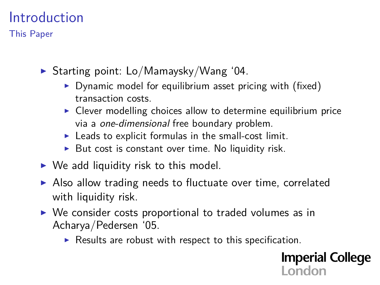This Paper

- $\triangleright$  Starting point: Lo/Mamaysky/Wang '04.
	- $\triangleright$  Dynamic model for equilibrium asset pricing with (fixed) transaction costs.
	- $\triangleright$  Clever modelling choices allow to determine equilibrium price via a one-dimensional free boundary problem.
	- $\blacktriangleright$  Leads to explicit formulas in the small-cost limit.
	- $\triangleright$  But cost is constant over time. No liquidity risk.
- $\triangleright$  We add liquidity risk to this model.
- $\triangleright$  Also allow trading needs to fluctuate over time, correlated with liquidity risk.
- $\triangleright$  We consider costs proportional to traded volumes as in Acharya/Pedersen '05.
	- $\triangleright$  Results are robust with respect to this specification.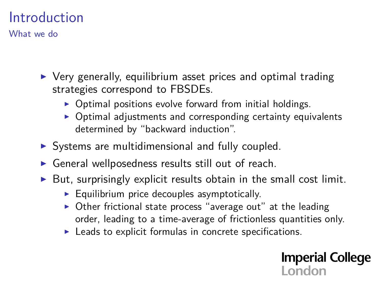What we do

- $\triangleright$  Very generally, equilibrium asset prices and optimal trading strategies correspond to FBSDEs.
	- $\triangleright$  Optimal positions evolve forward from initial holdings.
	- $\triangleright$  Optimal adjustments and corresponding certainty equivalents determined by "backward induction".
- $\triangleright$  Systems are multidimensional and fully coupled.
- General wellposedness results still out of reach.
- $\triangleright$  But, surprisingly explicit results obtain in the small cost limit.
	- $\blacktriangleright$  Equilibrium price decouples asymptotically.
	- $\triangleright$  Other frictional state process "average out" at the leading order, leading to a time-average of frictionless quantities only.
	- $\blacktriangleright$  Leads to explicit formulas in concrete specifications.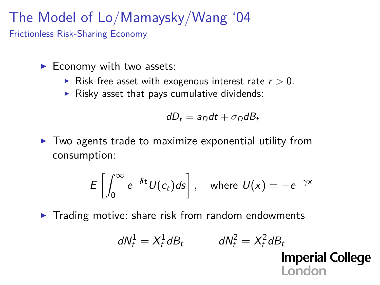## The Model of Lo/Mamaysky/Wang '04

Frictionless Risk-Sharing Economy

- $\blacktriangleright$  Economy with two assets:
	- Risk-free asset with exogenous interest rate  $r > 0$ .
	- $\triangleright$  Risky asset that pays cumulative dividends:

$$
dD_t = a_D dt + \sigma_D dB_t
$$

 $\blacktriangleright$  Two agents trade to maximize exponential utility from consumption:

$$
E\left[\int_0^\infty e^{-\delta t} U(c_t) ds\right], \text{ where } U(x) = -e^{-\gamma x}
$$

 $\blacktriangleright$  Trading motive: share risk from random endowments

$$
dN_t^1 = X_t^1 dB_t \t dN_t^2 = X_t^2 dB_t
$$
  
**Imperial College**  
London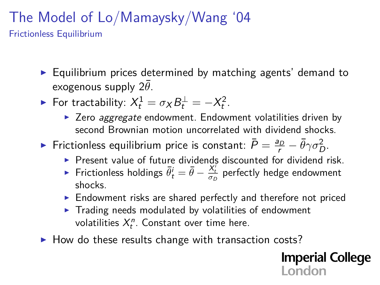# The Model of Lo/Mamaysky/Wang '04

Frictionless Equilibrium

- $\triangleright$  Equilibrium prices determined by matching agents' demand to exogenous supply  $2\bar{\theta}$ .
- ► For tractability:  $X_t^1 = \sigma_X B_t^{\perp} = -X_t^2$ .
	- $\triangleright$  Zero aggregate endowment. Endowment volatilities driven by second Brownian motion uncorrelated with dividend shocks.
- Frictionless equilibrium price is constant:  $\bar{P} = \frac{a_D}{r} \bar{\theta} \gamma \sigma_D^2$ .
	- $\triangleright$  Present value of future dividends discounted for dividend risk.
	- ► Frictionless holdings  $\bar{\theta}^i_t = \bar{\theta} \frac{X^i_t}{\sigma_D}$  perfectly hedge endowment shocks.
	- $\blacktriangleright$  Endowment risks are shared perfectly and therefore not priced
	- $\blacktriangleright$  Trading needs modulated by volatilities of endowment volatilities  $X_t^n$ . Constant over time here.
- $\blacktriangleright$  How do these results change with transaction costs?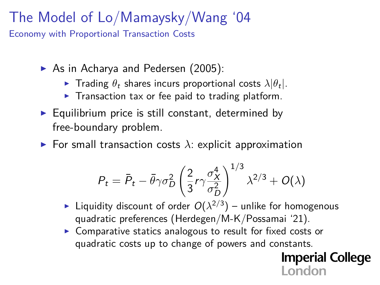### The Model of Lo/Mamaysky/Wang '04

Economy with Proportional Transaction Costs

- $\triangleright$  As in Acharya and Pedersen (2005):
	- $\blacktriangleright$  Trading  $\theta_t$  shares incurs proportional costs  $\lambda |\theta_t|.$
	- $\blacktriangleright$  Transaction tax or fee paid to trading platform.
- $\blacktriangleright$  Equilibrium price is still constant, determined by free-boundary problem.
- **For small transaction costs**  $\lambda$ : explicit approximation

$$
P_t = \bar{P}_t - \bar{\theta}\gamma\sigma_D^2 \left(\frac{2}{3}r\gamma \frac{\sigma_X^4}{\sigma_D^2}\right)^{1/3} \lambda^{2/3} + O(\lambda)
$$

- **Example 1** Liquidity discount of order  $O(\lambda^{2/3})$  unlike for homogenous quadratic preferences (Herdegen/M-K/Possamai '21).
- $\triangleright$  Comparative statics analogous to result for fixed costs or quadratic costs up to change of powers and constants.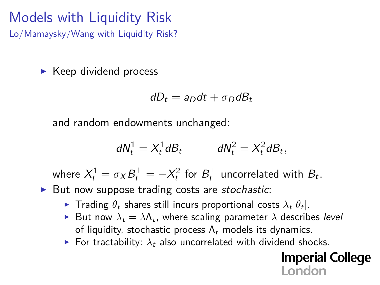Lo/Mamaysky/Wang with Liquidity Risk?

 $\blacktriangleright$  Keep dividend process

$$
dD_t = a_D dt + \sigma_D dB_t
$$

and random endowments unchanged:

$$
dN_t^1 = X_t^1 dB_t \qquad dN_t^2 = X_t^2 dB_t,
$$

where  $X_t^1 = \sigma_X B_t^{\perp} = -X_t^2$  for  $B_t^{\perp}$  uncorrelated with  $B_t$ .

 $\triangleright$  But now suppose trading costs are stochastic:

- $\blacktriangleright$  Trading  $\theta_t$  shares still incurs proportional costs  $\lambda_t|\theta_t|.$
- $\blacktriangleright$  But now  $\lambda_t = \lambda \Lambda_t$ , where scaling parameter  $\lambda$  describes *level* of liquidity, stochastic process  $\Lambda_t$  models its dynamics.
- **For tractability:**  $\lambda_t$  also uncorrelated with dividend shocks.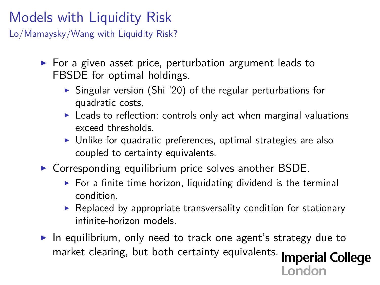Lo/Mamaysky/Wang with Liquidity Risk?

- $\triangleright$  For a given asset price, perturbation argument leads to FBSDE for optimal holdings.
	- $\triangleright$  Singular version (Shi '20) of the regular perturbations for quadratic costs.
	- $\blacktriangleright$  Leads to reflection: controls only act when marginal valuations exceed thresholds.
	- $\triangleright$  Unlike for quadratic preferences, optimal strategies are also coupled to certainty equivalents.
- $\triangleright$  Corresponding equilibrium price solves another BSDE.
	- $\triangleright$  For a finite time horizon, liquidating dividend is the terminal condition.
	- $\triangleright$  Replaced by appropriate transversality condition for stationary infinite-horizon models.
- $\blacktriangleright$  In equilibrium, only need to track one agent's strategy due to market clearing, but both certainty equivalents. **Imperial College** London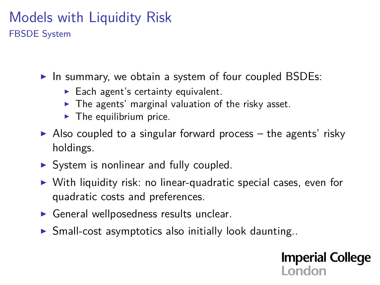#### Models with Liquidity Risk FBSDE System

In summary, we obtain a system of four coupled BSDEs:

- $\blacktriangleright$  Each agent's certainty equivalent.
- $\triangleright$  The agents' marginal valuation of the risky asset.
- $\blacktriangleright$  The equilibrium price.
- $\triangleright$  Also coupled to a singular forward process the agents' risky holdings.
- $\triangleright$  System is nonlinear and fully coupled.
- $\triangleright$  With liquidity risk: no linear-quadratic special cases, even for quadratic costs and preferences.
- $\triangleright$  General wellposedness results unclear.
- $\triangleright$  Small-cost asymptotics also initially look daunting..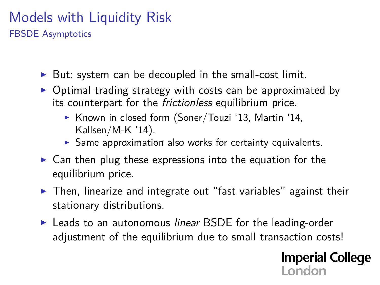FBSDE Asymptotics

- $\triangleright$  But: system can be decoupled in the small-cost limit.
- $\triangleright$  Optimal trading strategy with costs can be approximated by its counterpart for the frictionless equilibrium price.
	- $\triangleright$  Known in closed form (Soner/Touzi '13, Martin '14, Kallsen/M-K '14).
	- $\blacktriangleright$  Same approximation also works for certainty equivalents.
- $\triangleright$  Can then plug these expressions into the equation for the equilibrium price.
- $\triangleright$  Then, linearize and integrate out "fast variables" against their stationary distributions.
- $\blacktriangleright$  Leads to an autonomous *linear* BSDE for the leading-order adjustment of the equilibrium due to small transaction costs!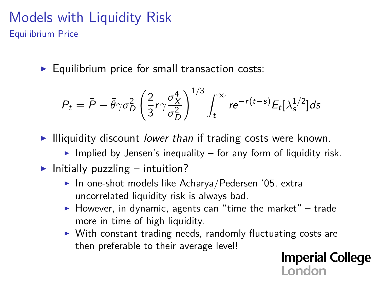#### Models with Liquidity Risk Equilibrium Price

 $\blacktriangleright$  Equilibrium price for small transaction costs:

$$
P_t = \bar{P} - \bar{\theta}\gamma\sigma_D^2 \left(\frac{2}{3}r\gamma \frac{\sigma_X^4}{\sigma_D^2}\right)^{1/3} \int_t^{\infty} r e^{-r(t-s)} E_t[\lambda_s^{1/2}] ds
$$

- Illiquidity discount lower than if trading costs were known.
	- Implied by Jensen's inequality for any form of liquidity risk.
- Initially puzzling intuition?
	- $\blacktriangleright$  In one-shot models like Acharya/Pedersen '05, extra uncorrelated liquidity risk is always bad.
	- $\blacktriangleright$  However, in dynamic, agents can "time the market" trade more in time of high liquidity.
	- $\triangleright$  With constant trading needs, randomly fluctuating costs are then preferable to their average level!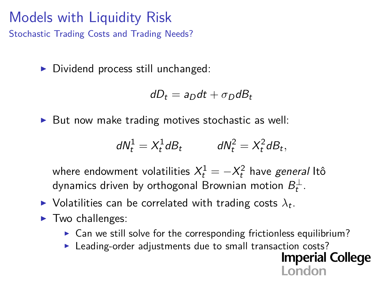Stochastic Trading Costs and Trading Needs?

 $\triangleright$  Dividend process still unchanged:

$$
dD_t = a_D dt + \sigma_D dB_t
$$

 $\triangleright$  But now make trading motives stochastic as well:

$$
dN_t^1 = X_t^1 dB_t \qquad dN_t^2 = X_t^2 dB_t,
$$

where endowment volatilities  $\mathcal{X}^1_t = - \mathcal{X}^2_t$  have *general* Itô dynamics driven by orthogonal Brownian motion  $B_t^\perp.$ 

- $\blacktriangleright$  Volatilities can be correlated with trading costs  $\lambda_t$ .
- $\blacktriangleright$  Two challenges:
	- $\triangleright$  Can we still solve for the corresponding frictionless equilibrium?
	- $\blacktriangleright$  Leading-order adjustments due to small transaction costs?

**Imperial College**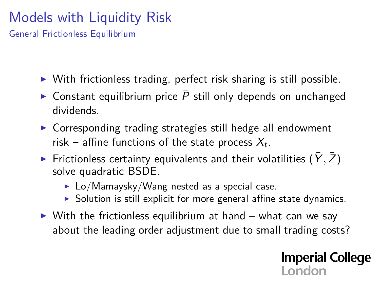General Frictionless Equilibrium

- $\triangleright$  With frictionless trading, perfect risk sharing is still possible.
- ► Constant equilibrium price  $\bar{P}$  still only depends on unchanged dividends.
- $\triangleright$  Corresponding trading strategies still hedge all endowment risk – affine functions of the state process  $X_t$ .
- Frictionless certainty equivalents and their volatilities  $(\bar{Y}, \bar{Z})$ solve quadratic BSDE.
	- $\blacktriangleright$  Lo/Mamaysky/Wang nested as a special case.
	- $\triangleright$  Solution is still explicit for more general affine state dynamics.
- $\triangleright$  With the frictionless equilibrium at hand what can we say about the leading order adjustment due to small trading costs?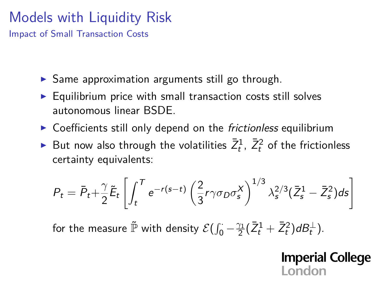Impact of Small Transaction Costs

- $\triangleright$  Same approximation arguments still go through.
- $\blacktriangleright$  Equilibrium price with small transaction costs still solves autonomous linear BSDE.
- $\triangleright$  Coefficients still only depend on the *frictionless* equilibrium
- ► But now also through the volatilities  $\bar{Z}_t^1$ ,  $\bar{Z}_t^2$  of the frictionless certainty equivalents:

$$
P_t = \bar{P}_t + \frac{\gamma}{2} \tilde{E}_t \left[ \int_t^T e^{-r(s-t)} \left( \frac{2}{3} r \gamma \sigma_D \sigma_s^X \right)^{1/3} \lambda_s^{2/3} (\bar{Z}_s^1 - \bar{Z}_s^2) ds \right]
$$

for the measure  $\tilde{\mathbb{P}}$  with density  $\mathcal{E}(\int_0^{\cdot} -\frac{\gamma_1}{2}(\bar{Z}_t^1+\bar{Z}_t^2)dB_t^{\perp}).$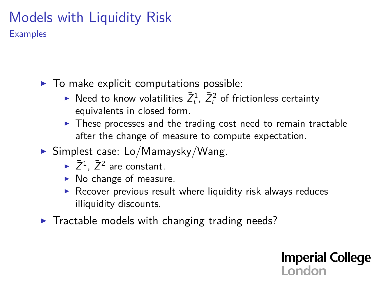**Examples** 

 $\triangleright$  To make explicit computations possible:

- ▶ Need to know volatilities  $\bar{Z}_{t}^{1}$ ,  $\bar{Z}_{t}^{2}$  of frictionless certainty equivalents in closed form.
- $\triangleright$  These processes and the trading cost need to remain tractable after the change of measure to compute expectation.
- $\blacktriangleright$  Simplest case: Lo/Mamaysky/Wang.
	- $\blacktriangleright$   $\bar{Z}^1$ ,  $\bar{Z}^2$  are constant.
	- $\triangleright$  No change of measure.
	- $\triangleright$  Recover previous result where liquidity risk always reduces illiquidity discounts.

**Imperial College** 

London

 $\triangleright$  Tractable models with changing trading needs?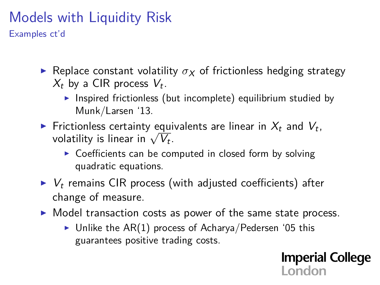Examples ct'd

- **F** Replace constant volatility  $\sigma_X$  of frictionless hedging strategy  $X_t$  by a CIR process  $V_t$ .
	- Inspired frictionless (but incomplete) equilibrium studied by Munk/Larsen '13.
- $\blacktriangleright$  Frictionless certainty equivalents are linear in  $X_t$  and  $V_t$ , Frictioniess certainty equi<br>volatility is linear in  $\sqrt{V_t}$ .
	- $\triangleright$  Coefficients can be computed in closed form by solving quadratic equations.
- $\triangleright$   $V_t$  remains CIR process (with adjusted coefficients) after change of measure.
- $\triangleright$  Model transaction costs as power of the same state process.
	- $\triangleright$  Unlike the AR(1) process of Acharya/Pedersen '05 this guarantees positive trading costs.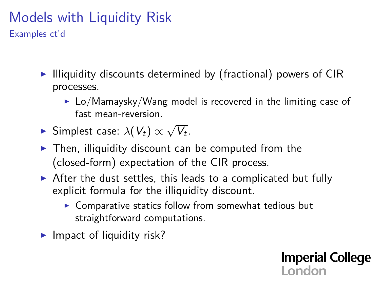Examples ct'd

- $\triangleright$  Illiquidity discounts determined by (fractional) powers of CIR processes.
	- $\triangleright$  Lo/Mamaysky/Wang model is recovered in the limiting case of fast mean-reversion.
- $\triangleright$  Simplest case:  $\lambda(V_t) \propto \sqrt{V_t}$  $V_t$ .
- $\blacktriangleright$  Then, illiquidity discount can be computed from the (closed-form) expectation of the CIR process.
- $\triangleright$  After the dust settles, this leads to a complicated but fully explicit formula for the illiquidity discount.
	- $\triangleright$  Comparative statics follow from somewhat tedious but straightforward computations.
- $\blacktriangleright$  Impact of liquidity risk?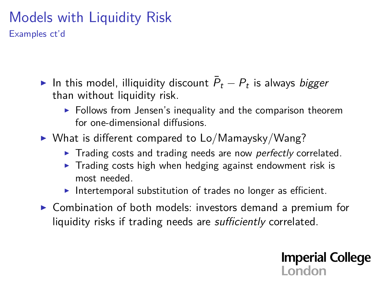Examples ct'd

- ► In this model, illiquidity discount  $\bar{P}_t P_t$  is always *bigger* than without liquidity risk.
	- $\blacktriangleright$  Follows from Jensen's inequality and the comparison theorem for one-dimensional diffusions.
- $\triangleright$  What is different compared to Lo/Mamaysky/Wang?
	- $\triangleright$  Trading costs and trading needs are now perfectly correlated.
	- $\triangleright$  Trading costs high when hedging against endowment risk is most needed.
	- Intertemporal substitution of trades no longer as efficient.
- $\triangleright$  Combination of both models: investors demand a premium for liquidity risks if trading needs are *sufficiently* correlated.

**Imperial College** 

London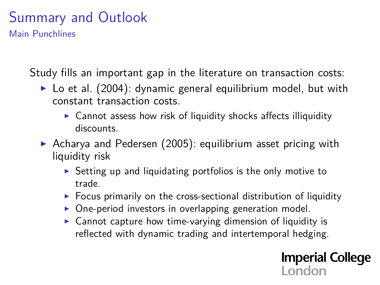## Summary and Outlook

Main Punchlines

Study fills an important gap in the literature on transaction costs:

- $\triangleright$  Lo et al. (2004): dynamic general equilibrium model, but with constant transaction costs.
	- $\triangleright$  Cannot assess how risk of liquidity shocks affects illiquidity discounts.
- Acharya and Pedersen (2005): equilibrium asset pricing with liquidity risk
	- $\triangleright$  Setting up and liquidating portfolios is the only motive to trade.
	- $\triangleright$  Focus primarily on the cross-sectional distribution of liquidity
	- $\triangleright$  One-period investors in overlapping generation model.
	- $\triangleright$  Cannot capture how time-varying dimension of liquidity is reflected with dynamic trading and intertemporal hedging.